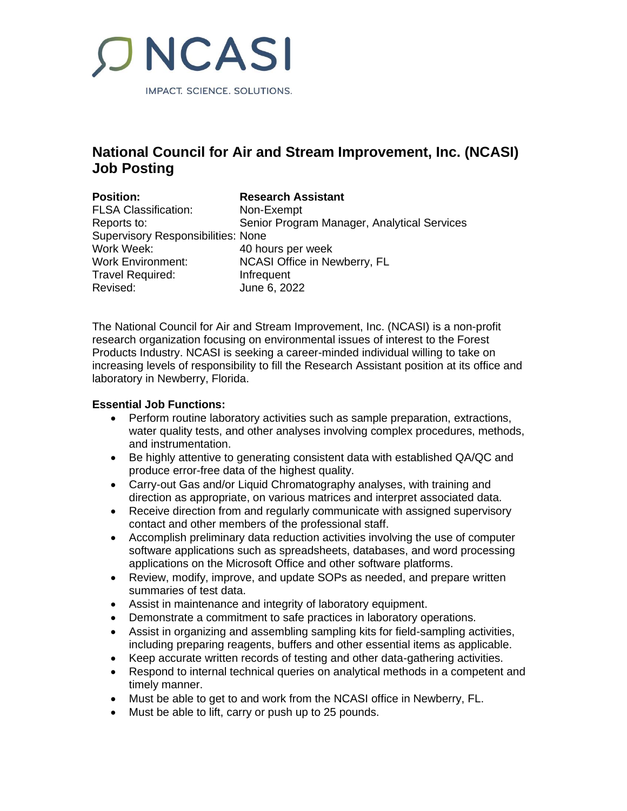

# **National Council for Air and Stream Improvement, Inc. (NCASI) Job Posting**

| <b>Position:</b>                          | <b>Research Assistant</b>                   |
|-------------------------------------------|---------------------------------------------|
| <b>FLSA Classification:</b>               | Non-Exempt                                  |
| Reports to:                               | Senior Program Manager, Analytical Services |
| <b>Supervisory Responsibilities: None</b> |                                             |
| Work Week:                                | 40 hours per week                           |
| <b>Work Environment:</b>                  | NCASI Office in Newberry, FL                |
| <b>Travel Required:</b>                   | Infrequent                                  |
| Revised:                                  | June 6, 2022                                |

The National Council for Air and Stream Improvement, Inc. (NCASI) is a non-profit research organization focusing on environmental issues of interest to the Forest Products Industry. NCASI is seeking a career-minded individual willing to take on increasing levels of responsibility to fill the Research Assistant position at its office and laboratory in Newberry, Florida.

#### **Essential Job Functions:**

- Perform routine laboratory activities such as sample preparation, extractions, water quality tests, and other analyses involving complex procedures, methods, and instrumentation.
- Be highly attentive to generating consistent data with established QA/QC and produce error-free data of the highest quality.
- Carry-out Gas and/or Liquid Chromatography analyses, with training and direction as appropriate, on various matrices and interpret associated data.
- Receive direction from and regularly communicate with assigned supervisory contact and other members of the professional staff.
- Accomplish preliminary data reduction activities involving the use of computer software applications such as spreadsheets, databases, and word processing applications on the Microsoft Office and other software platforms.
- Review, modify, improve, and update SOPs as needed, and prepare written summaries of test data.
- Assist in maintenance and integrity of laboratory equipment.
- Demonstrate a commitment to safe practices in laboratory operations.
- Assist in organizing and assembling sampling kits for field-sampling activities, including preparing reagents, buffers and other essential items as applicable.
- Keep accurate written records of testing and other data-gathering activities.
- Respond to internal technical queries on analytical methods in a competent and timely manner.
- Must be able to get to and work from the NCASI office in Newberry, FL.
- Must be able to lift, carry or push up to 25 pounds.